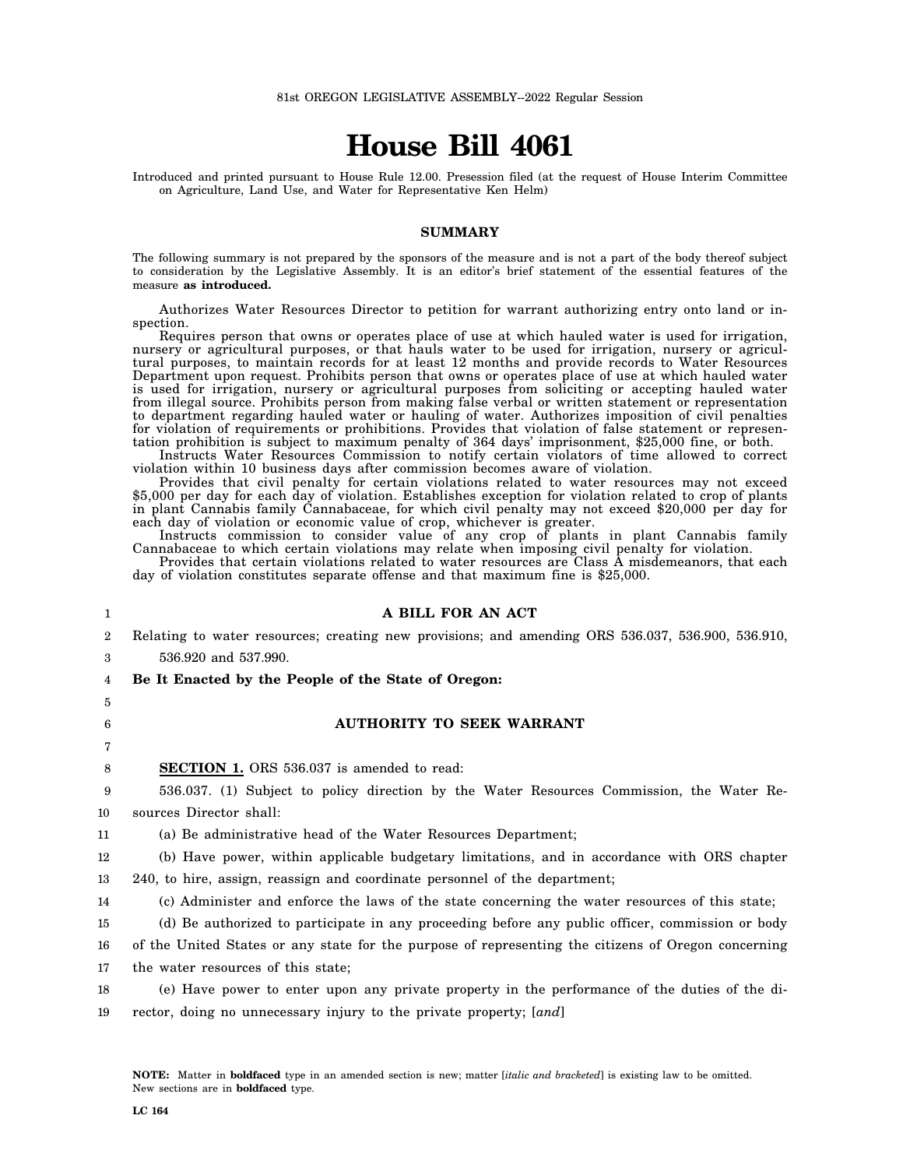# **House Bill 4061**

Introduced and printed pursuant to House Rule 12.00. Presession filed (at the request of House Interim Committee on Agriculture, Land Use, and Water for Representative Ken Helm)

#### **SUMMARY**

The following summary is not prepared by the sponsors of the measure and is not a part of the body thereof subject to consideration by the Legislative Assembly. It is an editor's brief statement of the essential features of the measure **as introduced.**

Authorizes Water Resources Director to petition for warrant authorizing entry onto land or inspection.

Requires person that owns or operates place of use at which hauled water is used for irrigation, nursery or agricultural purposes, or that hauls water to be used for irrigation, nursery or agricultural purposes, to maintain records for at least 12 months and provide records to Water Resources Department upon request. Prohibits person that owns or operates place of use at which hauled water is used for irrigation, nursery or agricultural purposes from soliciting or accepting hauled water from illegal source. Prohibits person from making false verbal or written statement or representation to department regarding hauled water or hauling of water. Authorizes imposition of civil penalties for violation of requirements or prohibitions. Provides that violation of false statement or representation prohibition is subject to maximum penalty of 364 days' imprisonment, \$25,000 fine, or both.

Instructs Water Resources Commission to notify certain violators of time allowed to correct violation within 10 business days after commission becomes aware of violation.

Provides that civil penalty for certain violations related to water resources may not exceed \$5,000 per day for each day of violation. Establishes exception for violation related to crop of plants in plant Cannabis family Cannabaceae, for which civil penalty may not exceed \$20,000 per day for each day of violation or economic value of crop, whichever is greater.

Instructs commission to consider value of any crop of plants in plant Cannabis family Cannabaceae to which certain violations may relate when imposing civil penalty for violation.

Provides that certain violations related to water resources are Class A misdemeanors, that each day of violation constitutes separate offense and that maximum fine is \$25,000.

| 1              | A BILL FOR AN ACT                                                                                   |
|----------------|-----------------------------------------------------------------------------------------------------|
| $\overline{2}$ | Relating to water resources; creating new provisions; and amending ORS 536.037, 536.900, 536.910,   |
| 3              | 536.920 and 537.990.                                                                                |
| 4              | Be It Enacted by the People of the State of Oregon:                                                 |
| 5              |                                                                                                     |
| 6              | <b>AUTHORITY TO SEEK WARRANT</b>                                                                    |
| 7              |                                                                                                     |
| 8              | <b>SECTION 1.</b> ORS 536.037 is amended to read:                                                   |
| 9              | 536.037. (1) Subject to policy direction by the Water Resources Commission, the Water Re-           |
| 10             | sources Director shall:                                                                             |
| 11             | (a) Be administrative head of the Water Resources Department;                                       |
| 12             | (b) Have power, within applicable budgetary limitations, and in accordance with ORS chapter         |
| 13             | 240, to hire, assign, reassign and coordinate personnel of the department;                          |
| 14             | (c) Administer and enforce the laws of the state concerning the water resources of this state;      |
| 15             | (d) Be authorized to participate in any proceeding before any public officer, commission or body    |
| 16             | of the United States or any state for the purpose of representing the citizens of Oregon concerning |
| 17             | the water resources of this state;                                                                  |
| 18             | (e) Have power to enter upon any private property in the performance of the duties of the di-       |
| 19             | rector, doing no unnecessary injury to the private property; [and]                                  |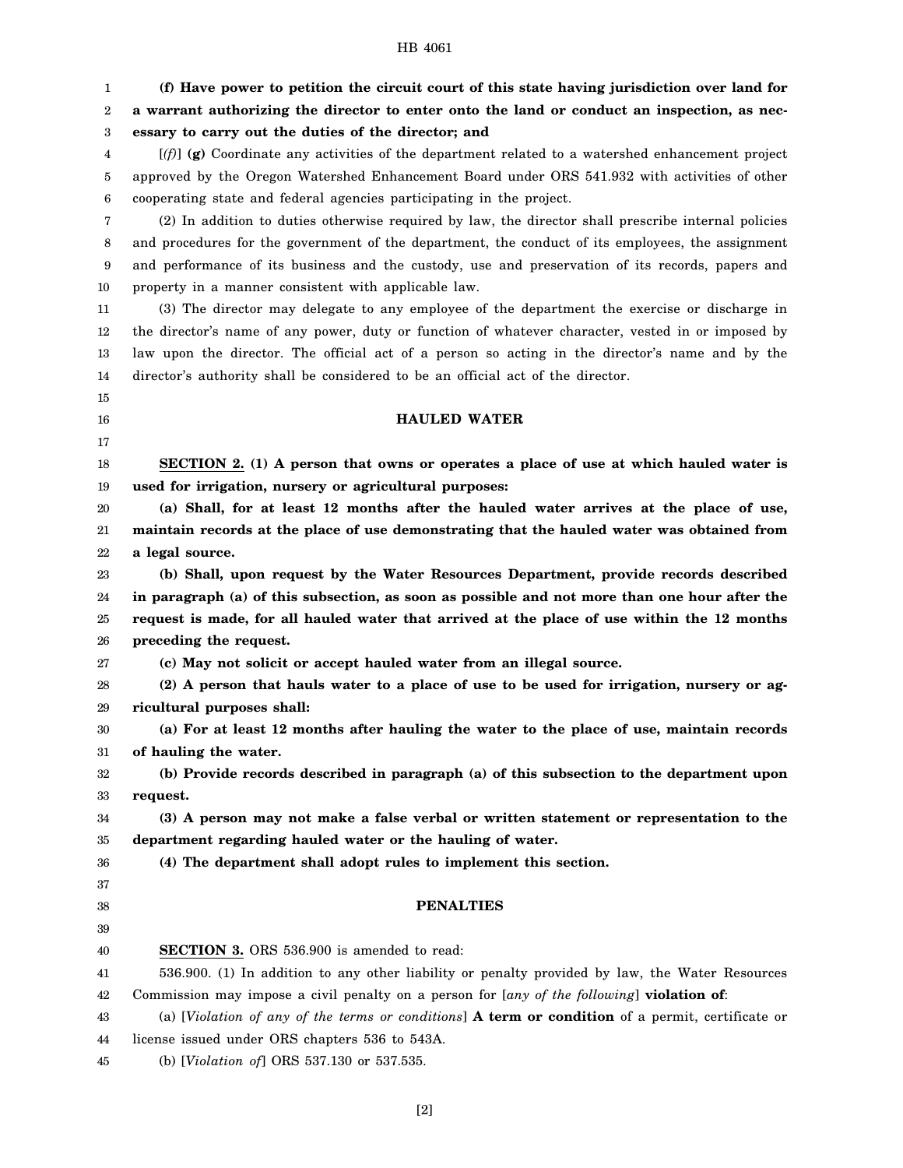## HB 4061

| 1                | (f) Have power to petition the circuit court of this state having jurisdiction over land for                      |
|------------------|-------------------------------------------------------------------------------------------------------------------|
| $\boldsymbol{2}$ | a warrant authorizing the director to enter onto the land or conduct an inspection, as nec-                       |
| 3                | essary to carry out the duties of the director; and                                                               |
| 4                | $[(f)]$ (g) Coordinate any activities of the department related to a watershed enhancement project                |
| 5                | approved by the Oregon Watershed Enhancement Board under ORS 541.932 with activities of other                     |
| 6                | cooperating state and federal agencies participating in the project.                                              |
| 7                | (2) In addition to duties otherwise required by law, the director shall prescribe internal policies               |
| 8                | and procedures for the government of the department, the conduct of its employees, the assignment                 |
| 9                | and performance of its business and the custody, use and preservation of its records, papers and                  |
| 10               | property in a manner consistent with applicable law.                                                              |
| 11               | (3) The director may delegate to any employee of the department the exercise or discharge in                      |
| $12\,$           | the director's name of any power, duty or function of whatever character, vested in or imposed by                 |
| 13               | law upon the director. The official act of a person so acting in the director's name and by the                   |
| 14               | director's authority shall be considered to be an official act of the director.                                   |
| 15               |                                                                                                                   |
| 16               | <b>HAULED WATER</b>                                                                                               |
| 17               |                                                                                                                   |
| 18               | SECTION 2. (1) A person that owns or operates a place of use at which hauled water is                             |
| 19               | used for irrigation, nursery or agricultural purposes:                                                            |
| 20               | (a) Shall, for at least 12 months after the hauled water arrives at the place of use,                             |
| 21               | maintain records at the place of use demonstrating that the hauled water was obtained from                        |
| 22               | a legal source.                                                                                                   |
| 23               | (b) Shall, upon request by the Water Resources Department, provide records described                              |
| 24               | in paragraph (a) of this subsection, as soon as possible and not more than one hour after the                     |
| 25               | request is made, for all hauled water that arrived at the place of use within the 12 months                       |
| 26               | preceding the request.                                                                                            |
| 27               | (c) May not solicit or accept hauled water from an illegal source.                                                |
| 28               | (2) A person that hauls water to a place of use to be used for irrigation, nursery or ag-                         |
| 29               | ricultural purposes shall:                                                                                        |
| 30               | (a) For at least 12 months after hauling the water to the place of use, maintain records                          |
| 31<br>32         | of hauling the water.<br>(b) Provide records described in paragraph (a) of this subsection to the department upon |
| 33               | request.                                                                                                          |
| 34               | (3) A person may not make a false verbal or written statement or representation to the                            |
| 35               | department regarding hauled water or the hauling of water.                                                        |
| 36               | (4) The department shall adopt rules to implement this section.                                                   |
| 37               |                                                                                                                   |
| 38               | <b>PENALTIES</b>                                                                                                  |
| 39               |                                                                                                                   |
| 40               | <b>SECTION 3.</b> ORS 536.900 is amended to read:                                                                 |
| 41               | 536.900. (1) In addition to any other liability or penalty provided by law, the Water Resources                   |
| 42               | Commission may impose a civil penalty on a person for [any of the following] violation of:                        |
| 43               | (a) [Violation of any of the terms or conditions] A term or condition of a permit, certificate or                 |
| 44               | license issued under ORS chapters 536 to 543A.                                                                    |
| 45               | (b) [Violation of] ORS 537.130 or 537.535.                                                                        |
|                  |                                                                                                                   |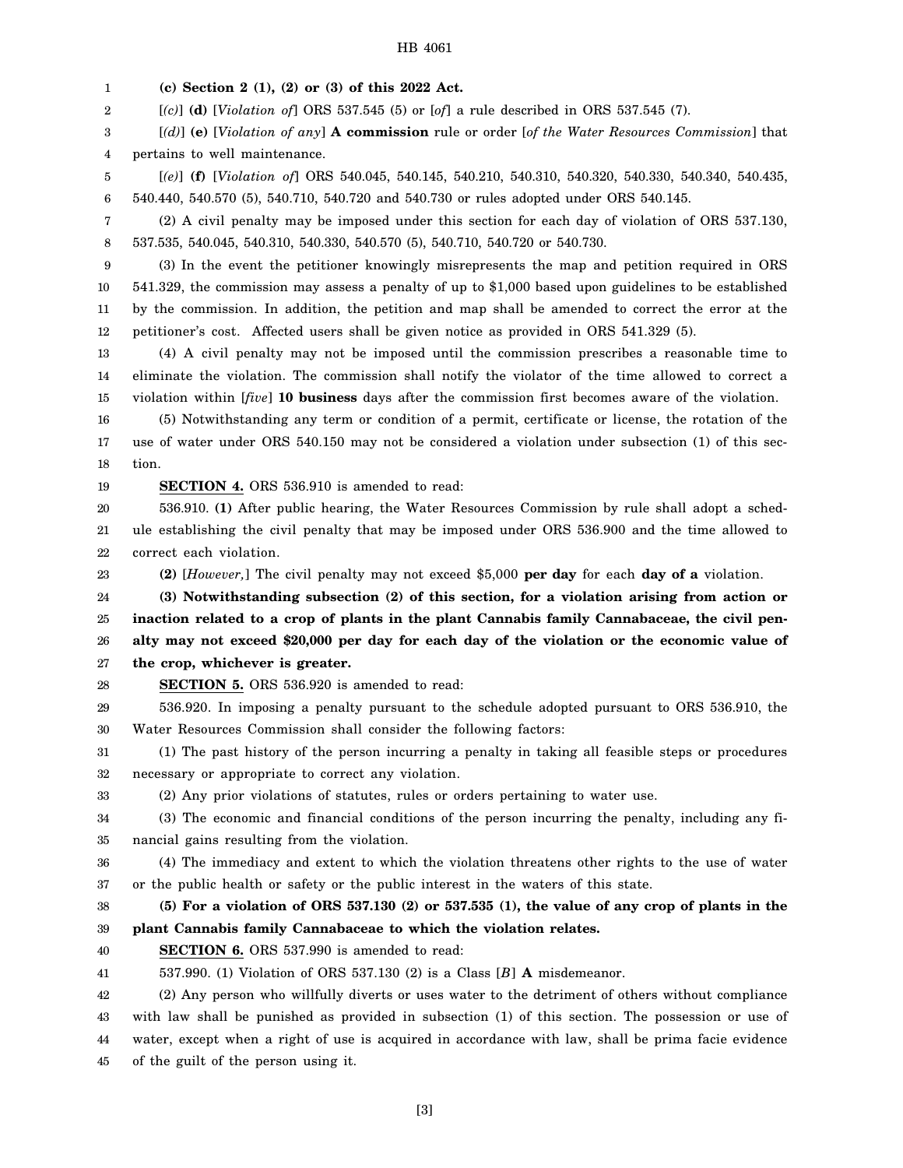#### HB 4061

1 **(c) Section 2 (1), (2) or (3) of this 2022 Act.**

2 [*(c)*] **(d)** [*Violation of*] ORS 537.545 (5) or [*of*] a rule described in ORS 537.545 (7).

3 4 [*(d)*] **(e)** [*Violation of any*] **A commission** rule or order [*of the Water Resources Commission*] that pertains to well maintenance.

5 6 [*(e)*] **(f)** [*Violation of*] ORS 540.045, 540.145, 540.210, 540.310, 540.320, 540.330, 540.340, 540.435, 540.440, 540.570 (5), 540.710, 540.720 and 540.730 or rules adopted under ORS 540.145.

7 8 (2) A civil penalty may be imposed under this section for each day of violation of ORS 537.130, 537.535, 540.045, 540.310, 540.330, 540.570 (5), 540.710, 540.720 or 540.730.

9 10 11 12 (3) In the event the petitioner knowingly misrepresents the map and petition required in ORS 541.329, the commission may assess a penalty of up to \$1,000 based upon guidelines to be established by the commission. In addition, the petition and map shall be amended to correct the error at the petitioner's cost. Affected users shall be given notice as provided in ORS 541.329 (5).

13 14 15 (4) A civil penalty may not be imposed until the commission prescribes a reasonable time to eliminate the violation. The commission shall notify the violator of the time allowed to correct a violation within [*five*] **10 business** days after the commission first becomes aware of the violation.

16 17 18 (5) Notwithstanding any term or condition of a permit, certificate or license, the rotation of the use of water under ORS 540.150 may not be considered a violation under subsection (1) of this section.

19 **SECTION 4.** ORS 536.910 is amended to read:

20 21 22 536.910. **(1)** After public hearing, the Water Resources Commission by rule shall adopt a schedule establishing the civil penalty that may be imposed under ORS 536.900 and the time allowed to correct each violation.

23

**(2)** [*However,*] The civil penalty may not exceed \$5,000 **per day** for each **day of a** violation.

24 25 26 27 **(3) Notwithstanding subsection (2) of this section, for a violation arising from action or inaction related to a crop of plants in the plant Cannabis family Cannabaceae, the civil penalty may not exceed \$20,000 per day for each day of the violation or the economic value of the crop, whichever is greater.**

28 **SECTION 5.** ORS 536.920 is amended to read:

29 30 536.920. In imposing a penalty pursuant to the schedule adopted pursuant to ORS 536.910, the Water Resources Commission shall consider the following factors:

31 32 (1) The past history of the person incurring a penalty in taking all feasible steps or procedures necessary or appropriate to correct any violation.

33 (2) Any prior violations of statutes, rules or orders pertaining to water use.

34 35 (3) The economic and financial conditions of the person incurring the penalty, including any financial gains resulting from the violation.

36 (4) The immediacy and extent to which the violation threatens other rights to the use of water

37 or the public health or safety or the public interest in the waters of this state.

38 39 **(5) For a violation of ORS 537.130 (2) or 537.535 (1), the value of any crop of plants in the plant Cannabis family Cannabaceae to which the violation relates.**

40 **SECTION 6.** ORS 537.990 is amended to read:

41 537.990. (1) Violation of ORS 537.130 (2) is a Class [*B*] **A** misdemeanor.

42 43 44 45 (2) Any person who willfully diverts or uses water to the detriment of others without compliance with law shall be punished as provided in subsection (1) of this section. The possession or use of water, except when a right of use is acquired in accordance with law, shall be prima facie evidence of the guilt of the person using it.